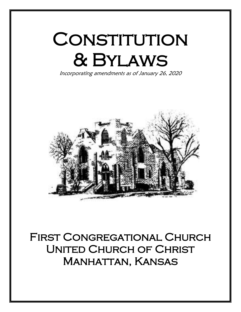# CONSTITUTION & Bylaws

Incorporating amendments as of January 26, 2020  $\ddot{\phantom{a}}$ 



First Congregational Church United Church of Christ Manhattan, Kansas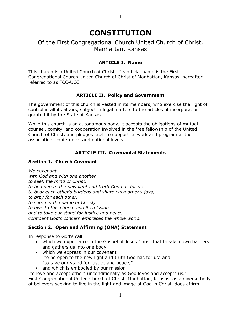1

# Of the First Congregational Church United Church of Christ, Manhattan, Kansas

#### **ARTICLE I. Name**

This church is a United Church of Christ. Its official name is the First Congregational Church United Church of Christ of Manhattan, Kansas, hereafter referred to as FCC-UCC.

#### **ARTICLE II. Policy and Government**

The government of this church is vested in its members, who exercise the right of control in all its affairs, subject in legal matters to the articles of incorporation granted it by the State of Kansas.

While this church is an autonomous body, it accepts the obligations of mutual counsel, comity, and cooperation involved in the free fellowship of the United Church of Christ, and pledges itself to support its work and program at the association, conference, and national levels.

#### **ARTICLE III. Covenantal Statements**

#### **Section 1. Church Covenant**

*We covenant with God and with one another to seek the mind of Christ, to be open to the new light and truth God has for us, to bear each other's burdens and share each other's joys, to pray for each other, to serve in the name of Christ, to give to this church and its mission, and to take our stand for justice and peace, confident God's concern embraces the whole world.*

#### **Section 2. Open and Affirming (ONA) Statement**

In response to God's call

- which we experience in the Gospel of Jesus Christ that breaks down barriers and gathers us into one body,
- which we express in our covenant "to be open to the new light and truth God has for us" and "to take our stand for justice and peace,"
- and which is embodied by our mission

"to love and accept others unconditionally as God loves and accepts us." First Congregational United Church of Christ, Manhattan, Kansas, as a diverse body of believers seeking to live in the light and image of God in Christ, does affirm: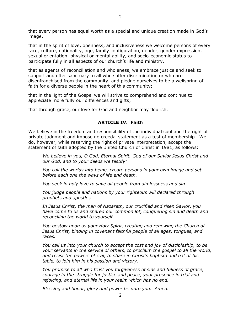that every person has equal worth as a special and unique creation made in God's image,

that in the spirit of love, openness, and inclusiveness we welcome persons of every race, culture, nationality, age, family configuration, gender, gender expression, sexual orientation, physical or mental ability, and socio-economic status to participate fully in all aspects of our church's life and ministry,

that as agents of reconciliation and wholeness, we embrace justice and seek to support and offer sanctuary to all who suffer discrimination or who are disenfranchised from the community, and pledge ourselves to be a wellspring of faith for a diverse people in the heart of this community;

that in the light of the Gospel we will strive to comprehend and continue to appreciate more fully our differences and gifts;

that through grace, our love for God and neighbor may flourish.

#### **ARTICLE IV. Faith**

We believe in the freedom and responsibility of the individual soul and the right of private judgment and impose no creedal statement as a test of membership. We do, however, while reserving the right of private interpretation, accept the statement of faith adopted by the United Church of Christ in 1981, as follows:

*We believe in you, O God, Eternal Spirit, God of our Savior Jesus Christ and our God, and to your deeds we testify:*

*You call the worlds into being, create persons in your own image and set before each one the ways of life and death.*

*You seek in holy love to save all people from aimlessness and sin.*

*You judge people and nations by your righteous will declared through prophets and apostles.*

*In Jesus Christ, the man of Nazareth, our crucified and risen Savior, you have come to us and shared our common lot, conquering sin and death and reconciling the world to yourself.*

*You bestow upon us your Holy Spirit, creating and renewing the Church of Jesus Christ, binding in covenant faithful people of all ages, tongues, and races.*

*You call us into your church to accept the cost and joy of discipleship, to be your servants in the service of others, to proclaim the gospel to all the world, and resist the powers of evil, to share in Christ's baptism and eat at his table, to join him in his passion and victory.*

*You promise to all who trust you forgiveness of sins and fullness of grace, courage in the struggle for justice and peace, your presence in trial and rejoicing, and eternal life in your realm which has no end.*

*Blessing and honor, glory and power be unto you. Amen.*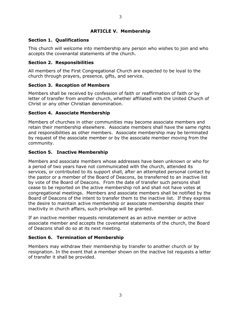#### **ARTICLE V. Membership**

#### **Section 1. Qualifications**

This church will welcome into membership any person who wishes to join and who accepts the covenantal statements of the church.

#### **Section 2. Responsibilities**

All members of the First Congregational Church are expected to be loyal to the church through prayers, presence, gifts, and service.

#### **Section 3. Reception of Members**

Members shall be received by confession of faith or reaffirmation of faith or by letter of transfer from another church, whether affiliated with the United Church of Christ or any other Christian denomination.

#### **Section 4. Associate Membership**

Members of churches in other communities may become associate members and retain their membership elsewhere. Associate members shall have the same rights and responsibilities as other members. Associate membership may be terminated by request of the associate member or by the associate member moving from the community.

#### **Section 5. Inactive Membership**

Members and associate members whose addresses have been unknown or who for a period of two years have not communicated with the church, attended its services, or contributed to its support shall, after an attempted personal contact by the pastor or a member of the Board of Deacons, be transferred to an inactive list by vote of the Board of Deacons. From the date of transfer such persons shall cease to be reported on the active membership roll and shall not have votes at congregational meetings. Members and associate members shall be notified by the Board of Deacons of the intent to transfer them to the inactive list. If they express the desire to maintain active membership or associate membership despite their inactivity in church affairs, such privilege will be granted.

If an inactive member requests reinstatement as an active member or active associate member and accepts the covenantal statements of the church, the Board of Deacons shall do so at its next meeting.

# **Section 6. Termination of Membership**

Members may withdraw their membership by transfer to another church or by resignation. In the event that a member shown on the inactive list requests a letter of transfer it shall be provided.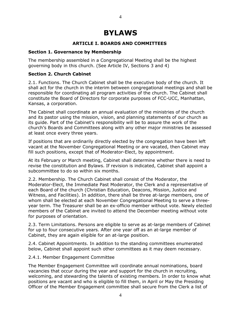# **BYLAWS**

# **ARTICLE I. BOARDS AND COMMITTEES**

#### **Section 1. Governance by Membership**

The membership assembled in a Congregational Meeting shall be the highest governing body in this church. (See Article IV, Sections 3 and 4)

### **Section 2. Church Cabinet**

2.1. Functions. The Church Cabinet shall be the executive body of the church. It shall act for the church in the interim between congregational meetings and shall be responsible for coordinating all program activities of the church. The Cabinet shall constitute the Board of Directors for corporate purposes of FCC-UCC, Manhattan, Kansas, a corporation.

The Cabinet shall coordinate an annual evaluation of the ministries of the church and its pastor using the mission, vision, and planning statements of our church as its guide. Part of the Cabinet's responsibility will be to assure the work of the church's Boards and Committees along with any other major ministries be assessed at least once every three years.

If positions that are ordinarily directly elected by the congregation have been left vacant at the November Congregational Meeting or are vacated, then Cabinet may fill such positions, except that of Moderator-Elect, by appointment.

At its February or March meeting, Cabinet shall determine whether there is need to revise the constitution and Bylaws. If revision is indicated, Cabinet shall appoint a subcommittee to do so within six months.

2.2. Membership. The Church Cabinet shall consist of the Moderator, the Moderator-Elect, the Immediate Past Moderator, the Clerk and a representative of each Board of the church (Christian Education, Deacons, Mission, Justice and Witness, and Facilities). In addition, there shall be three at-large members, one of whom shall be elected at each November Congregational Meeting to serve a threeyear term. The Treasurer shall be an ex-officio member without vote. Newly elected members of the Cabinet are invited to attend the December meeting without vote for purposes of orientation.

2.3. Term Limitations. Persons are eligible to serve as at-large members of Cabinet for up to four consecutive years. After one year off as an at-large member of Cabinet, they are again eligible for an at-large position.

2.4. Cabinet Appointments. In addition to the standing committees enumerated below, Cabinet shall appoint such other committees as it may deem necessary.

#### 2.4.1. Member Engagement Committee

The Member Engagement Committee will coordinate annual nominations, board vacancies that occur during the year and support for the church in recruiting, welcoming, and stewarding the talents of existing members. In order to know what positions are vacant and who is eligible to fill them, in April or May the Presiding Officer of the Member Engagement committee shall secure from the Clerk a list of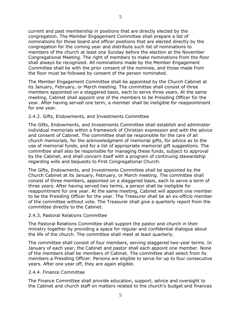current and past membership in positions that are directly elected by the congregation. The Member Engagement Committee shall prepare a list of nominations for those board and officer positions that are elected directly by the congregation for the coming year and distribute such list of nominations to members of the church at least one Sunday before the election at the November Congregational Meeting. The right of members to make nominations from the floor shall always be recognized. All nominations made by the Member Engagement Committee shall be with the prior consent of the nominee, and those made from the floor must be followed by consent of the person nominated.

The Member Engagement Committee shall be appointed by the Church Cabinet at its January, February, or March meeting. The committee shall consist of three members appointed on a staggered basis, each to serve three years. At the same meeting, Cabinet shall appoint one of the members to be Presiding Officer for the year. After having served one term, a member shall be ineligible for reappointment for one year.

#### 2.4.2. Gifts, Endowments, and Investments Committee

The Gifts, Endowments, and Investments Committee shall establish and administer individual memorials within a framework of Christian expression and with the advice and consent of Cabinet. The committee shall be responsible for the care of all church memorials, for the acknowledgment of memorial gifts, for advice as to the use of memorial funds, and for a list of appropriate memorial gift suggestions. The committee shall also be responsible for managing these funds, subject to approval by the Cabinet, and shall concern itself with a program of continuing stewardship regarding wills and bequests to First Congregational Church.

The Gifts, Endowments, and Investments Committee shall be appointed by the Church Cabinet at its January, February, or March meeting. The committee shall consist of three members, appointed on a staggered basis, each to serve a term of three years. After having served two terms, a person shall be ineligible for reappointment for one year. At the same meeting, Cabinet will appoint one member to be the Presiding Officer for the year. The Treasurer shall be an ex-officio member of the committee without vote. The Treasurer shall give a quarterly report from the committee directly to the Cabinet.

#### 2.4.3. Pastoral Relations Committee

The Pastoral Relations Committee shall support the pastor and church in their ministry together by providing a space for regular and confidential dialogue about the life of the church. The committee shall meet at least quarterly.

The committee shall consist of four members, serving staggered two-year terms. In January of each year, the Cabinet and pastor shall each appoint one member. None of the members shall be members of Cabinet. The committee shall select from its members a Presiding Officer. Persons are eligible to serve for up to four consecutive years. After one year off, they are again eligible.

#### 2.4.4. Finance Committee

The Finance Committee shall provide education, support, advice and oversight to the Cabinet and church staff on matters related to the church's budget and finances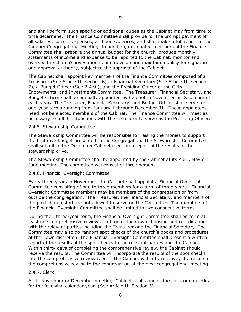and shall perform such specific or additional duties as the Cabinet may from time to time determine. The Finance Committee shall provide for the prompt payment of all salaries, current expenses, and benevolences, and shall make a full report at the January Congregational Meeting. In addition, designated members of the Finance Committee shall prepare the annual budget for the church, produce monthly statements of income and expense to be reported to the Cabinet, monitor and oversee the church's investments, and develop and maintain a policy for signature and approval authority, subject to the approval of the Cabinet.

The Cabinet shall appoint key members of the Finance Committee composed of a Treasurer (See Article II, Section 6), a Financial Secretary (See Article II, Section 7), a Budget Officer (See 2.4.9.), and the Presiding Officer of the Gifts, Endowments, and Investments Committee**.** The Treasurer, Financial Secretary, and Budget Officer shall be annually appointed by Cabinet in November or December of each year**.** The Treasurer, Financial Secretary, and Budget Officer shall serve for one-year terms running from January 1 through December 31. These appointees need not be elected members of the Cabinet. The Finance Committee will meet as necessary to fulfill its functions with the Treasurer to serve as the Presiding Officer.

#### 2.4.5. Stewardship Committee

The Stewardship Committee will be responsible for raising the monies to support the tentative budget presented to the Congregation. The Stewardship Committee shall submit to the December Cabinet meeting a report of the results of the stewardship drive.

The Stewardship Committee shall be appointed by the Cabinet at its April, May or June meeting. The committee will consist of three persons.

#### 2.4.6. Financial Oversight Committee

Every three years in November, the Cabinet shall appoint a Financial Oversight Committee consisting of one to three members for a term of three years. Financial Oversight Committee members may be members of the congregation or from outside the congregation. The Treasurer, the Financial Secretary, and members of the paid church staff are not allowed to serve on the Committee. The members of the Financial Oversight Committee shall be limited to two consecutive terms.

During their three-year term, the Financial Oversight Committee shall perform at least one comprehensive review at a time of their own choosing and coordinating with the relevant parties including the Treasurer and the Financial Secretary. The Committee may also do random spot checks of the church's books and procedures at their own discretion. The Financial Oversight Committee shall present a written report of the results of the spot checks to the relevant parties and the Cabinet. Within thirty days of completing the comprehensive review, the Cabinet should receive the results. The Committee will incorporate the results of the spot checks into the comprehensive review report. The Cabinet will in turn convey the results of the comprehensive review to the congregation at the next congregational meeting.

#### 2.4.7. Clerk

At its November or December meeting, Cabinet shall appoint the clerk or co-clerks for the following calendar year. (See Article II, Section 5)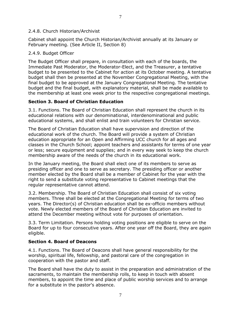#### 2.4.8. Church Historian/Archivist

Cabinet shall appoint the Church Historian/Archivist annually at its January or February meeting. (See Article II, Section 8)

#### 2.4.9. Budget Officer

The Budget Officer shall prepare, in consultation with each of the boards, the Immediate Past Moderator, the Moderator-Elect, and the Treasurer, a tentative budget to be presented to the Cabinet for action at its October meeting. A tentative budget shall then be presented at the November Congregational Meeting, with the final budget to be approved at the January Congregational Meeting. The tentative budget and the final budget, with explanatory material, shall be made available to the membership at least one week prior to the respective congregational meetings.

#### **Section 3. Board of Christian Education**

3.1. Functions. The Board of Christian Education shall represent the church in its educational relations with our denominational, interdenominational and public educational systems, and shall enlist and train volunteers for Christian service.

The Board of Christian Education shall have supervision and direction of the educational work of the church. The Board will provide a system of Christian education appropriate for an Open and Affirming UCC church for all ages and classes in the Church School; appoint teachers and assistants for terms of one year or less; secure equipment and supplies; and in every way seek to keep the church membership aware of the needs of the church in its educational work.

In the January meeting, the Board shall elect one of its members to serve as presiding officer and one to serve as secretary. The presiding officer or another member elected by the Board shall be a member of Cabinet for the year with the right to send a substitute voting representative to Cabinet meetings that the regular representative cannot attend.

3.2. Membership. The Board of Christian Education shall consist of six voting members. Three shall be elected at the Congregational Meeting for terms of two years. The Director(s) of Christian education shall be ex-officio members without vote. Newly elected members of the Board of Christian Education are invited to attend the December meeting without vote for purposes of orientation.

3.3. Term Limitation. Persons holding voting positions are eligible to serve on the Board for up to four consecutive years. After one year off the Board, they are again eligible.

#### **Section 4. Board of Deacons**

4.1. Functions. The Board of Deacons shall have general responsibility for the worship, spiritual life, fellowship, and pastoral care of the congregation in cooperation with the pastor and staff.

The Board shall have the duty to assist in the preparation and administration of the sacraments, to maintain the membership rolls, to keep in touch with absent members, to appoint the time and place of public worship services and to arrange for a substitute in the pastor's absence.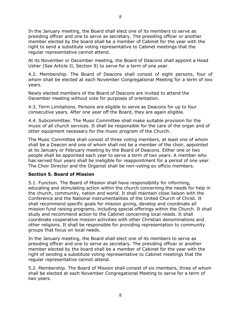In the January meeting, the Board shall elect one of its members to serve as presiding officer and one to serve as secretary. The presiding officer or another member elected by the board shall be a member of Cabinet for the year with the right to send a substitute voting representative to Cabinet meetings that the regular representative cannot attend.

At its November or December meeting, the Board of Deacons shall appoint a Head Usher (See Article II, Section 9) to serve for a term of one year.

4.2. Membership. The Board of Deacons shall consist of eight persons, four of whom shall be elected at each November Congregational Meeting for a term of two years.

Newly elected members of the Board of Deacons are invited to attend the December meeting without vote for purposes of orientation.

4.3. Term Limitations. Persons are eligible to serve as Deacons for up to four consecutive years. After one year off the Board, they are again eligible.

4.4. Subcommittee. The Music Committee shall make suitable provision for the music of all church services. It shall be responsible for the care of the organ and of other equipment necessary for the music program of the Church.

The Music Committee shall consist of three voting members, at least one of whom shall be a Deacon and one of whom shall not be a member of the choir, appointed at its January or February meeting by the Board of Deacons. Either one or two people shall be appointed each year to serve a term of two years. A member who has served four years shall be ineligible for reappointment for a period of one year. The Choir Director and the Organist shall be non-voting ex officio members.

#### **Section 5. Board of Mission**

5.1. Function. The Board of Mission shall have responsibility for informing, educating and stimulating action within the church concerning the needs for help in the church, community, nation and world. It shall maintain close liaison with the Conference and the National instrumentalities of the United Church of Christ. It shall recommend specific goals for mission giving, develop and coordinate all mission fund raising programs, including special offerings within the Church. It shall study and recommend action to the Cabinet concerning local needs. It shall coordinate cooperative mission activities with other Christian denominations and other religions. It shall be responsible for providing representation to community groups that focus on local needs.

In the January meeting, the Board shall elect one of its members to serve as presiding officer and one to serve as secretary. The presiding officer or another member elected by the board shall be a member of Cabinet for the year with the right of sending a substitute voting representative to Cabinet meetings that the regular representative cannot attend.

5.2. Membership. The Board of Mission shall consist of six members, three of whom shall be elected at each November Congregational Meeting to serve for a term of two years.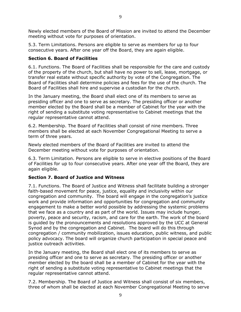Newly elected members of the Board of Mission are invited to attend the December meeting without vote for purposes of orientation.

5.3. Term Limitations. Persons are eligible to serve as members for up to four consecutive years. After one year off the Board, they are again eligible.

#### **Section 6. Board of Facilities**

6.1. Functions. The Board of Facilities shall be responsible for the care and custody of the property of the church, but shall have no power to sell, lease, mortgage, or transfer real estate without specific authority by vote of the Congregation. The Board of Facilities shall determine policies and fees for the use of the church. The Board of Facilities shall hire and supervise a custodian for the church.

In the January meeting, the Board shall elect one of its members to serve as presiding officer and one to serve as secretary. The presiding officer or another member elected by the Board shall be a member of Cabinet for the year with the right of sending a substitute voting representative to Cabinet meetings that the regular representative cannot attend.

6.2. Membership. The Board of Facilities shall consist of nine members. Three members shall be elected at each November Congregational Meeting to serve a term of three years.

Newly elected members of the Board of Facilities are invited to attend the December meeting without vote for purposes of orientation.

6.3. Term Limitation. Persons are eligible to serve in elective positions of the Board of Facilities for up to four consecutive years. After one year off the Board, they are again eligible.

#### **Section 7. Board of Justice and Witness**

7.1. Functions. The Board of Justice and Witness shall facilitate building a stronger faith-based movement for peace, justice, equality and inclusivity within our congregation and community. The board will engage in the congregation's justice work and provide information and opportunities for congregation and community engagement to make a better world possible by addressing the systemic problems that we face as a country and as part of the world. Issues may include hunger, poverty, peace and security, racism, and care for the earth. The work of the board is guided by the pronouncements and resolutions approved by the UCC at General Synod and by the congregation and Cabinet. The board will do this through congregation / community mobilization, issues education, public witness, and public policy advocacy. The board will organize church participation in special peace and justice outreach activities.

In the January meeting, the Board shall elect one of its members to serve as presiding officer and one to serve as secretary. The presiding officer or another member elected by the board shall be a member of Cabinet for the year with the right of sending a substitute voting representative to Cabinet meetings that the regular representative cannot attend.

7.2. Membership. The Board of Justice and Witness shall consist of six members, three of whom shall be elected at each November Congregational Meeting to serve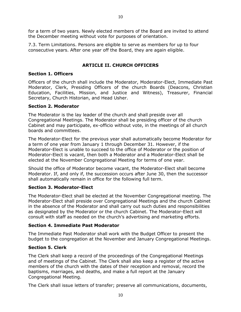for a term of two years. Newly elected members of the Board are invited to attend the December meeting without vote for purposes of orientation.

7.3. Term Limitations. Persons are eligible to serve as members for up to four consecutive years. After one year off the Board, they are again eligible.

# **ARTICLE II. CHURCH OFFICERS**

# **Section 1. Officers**

Officers of the church shall include the Moderator, Moderator-Elect, Immediate Past Moderator, Clerk, Presiding Officers of the church Boards (Deacons, Christian Education, Facilities, Mission, and Justice and Witness), Treasurer, Financial Secretary, Church Historian, and Head Usher.

#### **Section 2. Moderator**

The Moderator is the lay leader of the church and shall preside over all Congregational Meetings. The Moderator shall be presiding officer of the church Cabinet and may participate, ex-officio without vote, in the meetings of all church boards and committees.

The Moderator-Elect for the previous year shall automatically become Moderator for a term of one year from January 1 through December 31. However, if the Moderator-Elect is unable to succeed to the office of Moderator or the position of Moderator-Elect is vacant, then both a Moderator and a Moderator-Elect shall be elected at the November Congregational Meeting for terms of one year.

Should the office of Moderator become vacant, the Moderator-Elect shall become Moderator. If, and only if, the succession occurs after June 30, then the successor shall automatically remain in office for the following full term.

# **Section 3. Moderator-Elect**

The Moderator-Elect shall be elected at the November Congregational meeting. The Moderator-Elect shall preside over Congregational Meetings and the church Cabinet in the absence of the Moderator and shall carry out such duties and responsibilities as designated by the Moderator or the church Cabinet. The Moderator-Elect will consult with staff as needed on the church's advertising and marketing efforts.

#### **Section 4. Immediate Past Moderator**

The Immediate Past Moderator shall work with the Budget Officer to present the budget to the congregation at the November and January Congregational Meetings.

# **Section 5. Clerk**

The Clerk shall keep a record of the proceedings of the Congregational Meetings and of meetings of the Cabinet. The Clerk shall also keep a register of the active members of the church with the dates of their reception and removal, record the baptisms, marriages, and deaths, and make a full report at the January Congregational Meeting.

The Clerk shall issue letters of transfer; preserve all communications, documents,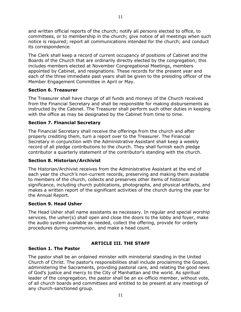and written official reports of the church; notify all persons elected to office, to committees, or to membership in the church; give notice of all meetings when such notice is required; report all communications intended for the church; and conduct its correspondence.

The Clerk shall keep a record of current occupancy of positions of Cabinet and the Boards of the Church that are ordinarily directly elected by the congregation; this includes members elected at November Congregational Meetings, members appointed by Cabinet, and resignations. These records for the present year and each of the three immediate past years shall be given to the presiding officer of the Member Engagement Committee in April or May.

#### **Section 6. Treasurer**

The Treasurer shall have charge of all funds and moneys of the Church received from the Financial Secretary and shall be responsible for making disbursements as instructed by the Cabinet. The Treasurer shall perform such other duties in keeping with the office as may be designated by the Cabinet from time to time.

#### **Section 7. Financial Secretary**

The Financial Secretary shall receive the offerings from the church and after properly crediting them, turn a report over to the Treasurer. The Financial Secretary in conjunction with the Administrative Assistant shall keep a weekly record of all pledge contributions to the church. They shall furnish each pledge contributor a quarterly statement of the contributor's standing with the church.

#### **Section 8. Historian/Archivist**

The Historian/Archivist receives from the Administrative Assistant at the end of each year the church's non-current records, preserving and making them available to members of the church, collects and preserves other items of historical significance, including church publications, photographs, and physical artifacts, and makes a written report of the significant activities of the church during the year for the Annual Report.

#### **Section 9. Head Usher**

The Head Usher shall name assistants as necessary. In regular and special worship services, the usher(s) shall open and close the doors to the lobby and foyer, make the audio system available as needed, collect the offering, provide for orderly procedures during communion, and make a head count.

#### **ARTICLE III. THE STAFF**

#### **Section 1. The Pastor**

The pastor shall be an ordained minister with ministerial standing in the United Church of Christ. The pastor's responsibilities shall include proclaiming the Gospel, administering the Sacraments, providing pastoral care, and relating the good news of God's justice and mercy to the City of Manhattan and the world. As spiritual leader of the congregation, the pastor shall be an ex-officio member, without vote, of all church boards and committees and entitled to be present at any meetings of any church-sanctioned group.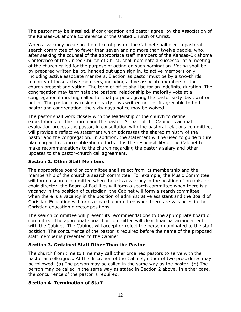The pastor may be installed, if congregation and pastor agree, by the Association of the Kansas-Oklahoma Conference of the United Church of Christ.

When a vacancy occurs in the office of pastor, the Cabinet shall elect a pastoral search committee of no fewer than seven and no more than twelve people, who, after seeking the counsel of the appropriate staff members of the Kansas-Oklahoma Conference of the United Church of Christ, shall nominate a successor at a meeting of the church called for the purpose of acting on such nomination. Voting shall be by prepared written ballot, handed out upon sign in, to active members only, including active associate members. Election as pastor must be by a two-thirds majority of those active members, including active associate members of the church present and voting. The term of office shall be for an indefinite duration. The congregation may terminate the pastoral relationship by majority vote at a congregational meeting called for that purpose, giving the pastor sixty days written notice. The pastor may resign on sixty days written notice. If agreeable to both pastor and congregation, the sixty days notice may be waived.

The pastor shall work closely with the leadership of the church to define expectations for the church and the pastor. As part of the Cabinet's annual evaluation process the pastor, in consultation with the pastoral relations committee, will provide a reflective statement which addresses the shared ministry of the pastor and the congregation. In addition, the statement will be used to guide future planning and resource utilization efforts. It is the responsibility of the Cabinet to make recommendations to the church regarding the pastor's salary and other updates to the pastor-church call agreement.

# **Section 2. Other Staff Members**

The appropriate board or committee shall select from its membership and the membership of the church a search committee. For example, the Music Committee will form a search committee when there is a vacancy in the position of organist or choir director, the Board of Facilities will form a search committee when there is a vacancy in the position of custodian, the Cabinet will form a search committee when there is a vacancy in the position of administrative assistant and the Board of Christian Education will form a search committee when there are vacancies in the Christian education director positions.

The search committee will present its recommendations to the appropriate board or committee. The appropriate board or committee will clear financial arrangements with the Cabinet. The Cabinet will accept or reject the person nominated to the staff position. The concurrence of the pastor is required before the name of the proposed staff member is presented to the Cabinet.

# **Section 3. Ordained Staff Other Than the Pastor**

The church from time to time may call other ordained pastors to serve with the pastor as colleagues. At the discretion of the Cabinet, either of two procedures may be followed: (a) The person may be called in the same way as the pastor; (b) The person may be called in the same way as stated in Section 2 above. In either case, the concurrence of the pastor is required.

# **Section 4. Termination of Staff**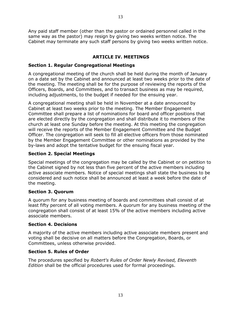Any paid staff member (other than the pastor or ordained personnel called in the same way as the pastor) may resign by giving two weeks written notice. The Cabinet may terminate any such staff persons by giving two weeks written notice.

# **ARTICLE IV. MEETINGS**

#### **Section 1. Regular Congregational Meetings**

A congregational meeting of the church shall be held during the month of January on a date set by the Cabinet and announced at least two weeks prior to the date of the meeting. The meeting shall be for the purpose of reviewing the reports of the Officers, Boards, and Committees, and to transact business as may be required, including adjustments, to the budget if needed for the ensuing year.

A congregational meeting shall be held in November at a date announced by Cabinet at least two weeks prior to the meeting. The Member Engagement Committee shall prepare a list of nominations for board and officer positions that are elected directly by the congregation and shall distribute it to members of the church at least one Sunday before the meeting. At this meeting the congregation will receive the reports of the Member Engagement Committee and the Budget Officer. The congregation will seek to fill all elective officers from those nominated by the Member Engagement Committee or other nominations as provided by the by-laws and adopt the tentative budget for the ensuing fiscal year.

#### **Section 2. Special Meetings**

Special meetings of the congregation may be called by the Cabinet or on petition to the Cabinet signed by not less than five percent of the active members including active associate members. Notice of special meetings shall state the business to be considered and such notice shall be announced at least a week before the date of the meeting.

#### **Section 3. Quorum**

A quorum for any business meeting of boards and committees shall consist of at least fifty percent of all voting members. A quorum for any business meeting of the congregation shall consist of at least 15% of the active members including active associate members.

#### **Section 4. Decisions**

A majority of the active members including active associate members present and voting shall be decisive on all matters before the Congregation, Boards, or Committees, unless otherwise provided.

#### **Section 5. Rules of Order**

The procedures specified by *Robert's Rules of Order Newly Revised, Eleventh Edition* shall be the official procedures used for formal proceedings.